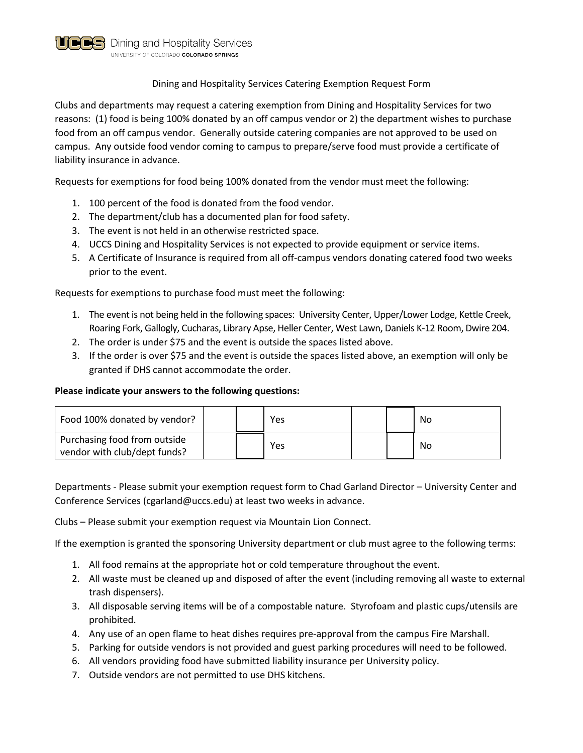

## Dining and Hospitality Services Catering Exemption Request Form

Clubs and departments may request a catering exemption from Dining and Hospitality Services for two reasons: (1) food is being 100% donated by an off campus vendor or 2) the department wishes to purchase food from an off campus vendor. Generally outside catering companies are not approved to be used on campus. Any outside food vendor coming to campus to prepare/serve food must provide a certificate of liability insurance in advance.

Requests for exemptions for food being 100% donated from the vendor must meet the following:

- 1. 100 percent of the food is donated from the food vendor.
- 2. The department/club has a documented plan for food safety.
- 3. The event is not held in an otherwise restricted space.
- 4. UCCS Dining and Hospitality Services is not expected to provide equipment or service items.
- 5. A Certificate of Insurance is required from all off-campus vendors donating catered food two weeks prior to the event.

Requests for exemptions to purchase food must meet the following:

- 1. The event is not being held in the following spaces: University Center, Upper/Lower Lodge, Kettle Creek, Roaring Fork, Gallogly, Cucharas, Library Apse, Heller Center, West Lawn, Daniels K-12 Room, Dwire 204.
- 2. The order is under \$75 and the event is outside the spaces listed above.
- 3. If the order is over \$75 and the event is outside the spaces listed above, an exemption will only be granted if DHS cannot accommodate the order.

## **Please indicate your answers to the following questions:**

| Food 100% donated by vendor?                                 |  | Yes |  | No |
|--------------------------------------------------------------|--|-----|--|----|
| Purchasing food from outside<br>vendor with club/dept funds? |  | Yes |  | No |

Departments - Please submit your exemption request form to Chad Garland Director – University Center and Conference Services (cgarland@uccs.edu) at least two weeks in advance.

Clubs – Please submit your exemption request via Mountain Lion Connect.

If the exemption is granted the sponsoring University department or club must agree to the following terms:

- 1. All food remains at the appropriate hot or cold temperature throughout the event.
- 2. All waste must be cleaned up and disposed of after the event (including removing all waste to external trash dispensers).
- 3. All disposable serving items will be of a compostable nature. Styrofoam and plastic cups/utensils are prohibited.
- 4. Any use of an open flame to heat dishes requires pre-approval from the campus Fire Marshall.
- 5. Parking for outside vendors is not provided and guest parking procedures will need to be followed.
- 6. All vendors providing food have submitted liability insurance per University policy.
- 7. Outside vendors are not permitted to use DHS kitchens.